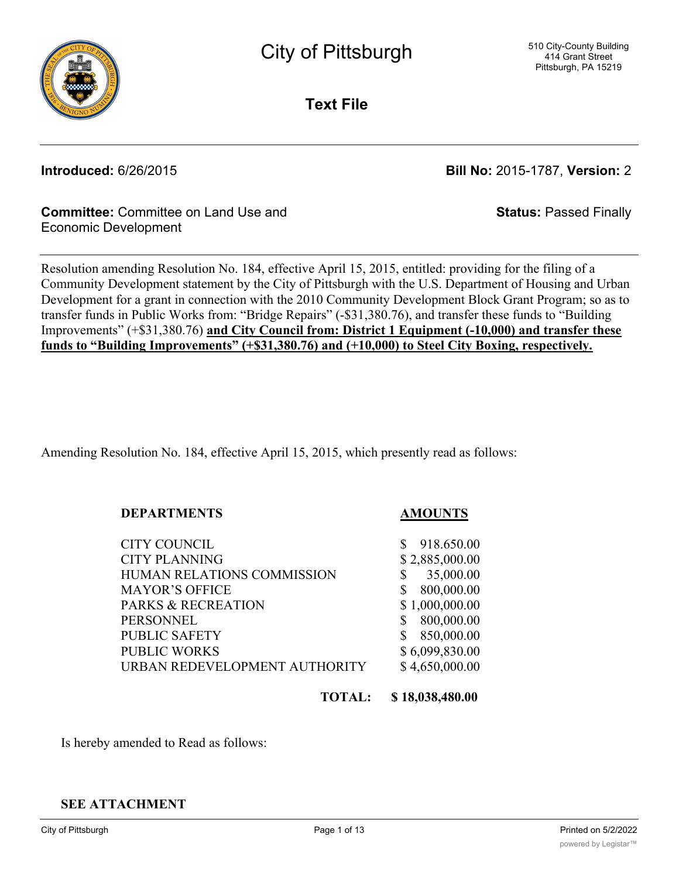

City of Pittsburgh

**Text File**

**Introduced:** 6/26/2015 **Bill No:** 2015-1787, **Version:** 2

**Status:** Passed Finally

## **Committee:** Committee on Land Use and Economic Development

Resolution amending Resolution No. 184, effective April 15, 2015, entitled: providing for the filing of a Community Development statement by the City of Pittsburgh with the U.S. Department of Housing and Urban Development for a grant in connection with the 2010 Community Development Block Grant Program; so as to transfer funds in Public Works from: "Bridge Repairs" (-\$31,380.76), and transfer these funds to "Building Improvements" (+\$31,380.76) **and City Council from: District 1 Equipment (-10,000) and transfer these funds to "Building Improvements" (+\$31,380.76) and (+10,000) to Steel City Boxing, respectively.**

Amending Resolution No. 184, effective April 15, 2015, which presently read as follows:

## **DEPARTMENTS AMOUNTS**

CITY COUNCIL S 918.650.00 CITY PLANNING \$2,885,000.00 HUMAN RELATIONS COMMISSION \$ 35,000.00 MAYOR'S OFFICE \$ 800,000.00 PARKS & RECREATION \$1,000,000.00 PERSONNEL \$ 800,000.00 PUBLIC SAFETY \$ 850,000.00 PUBLIC WORKS \$6,099,830.00 URBAN REDEVELOPMENT AUTHORITY \$4,650,000.00

**TOTAL: \$ 18,038,480.00**

Is hereby amended to Read as follows:

## **SEE ATTACHMENT**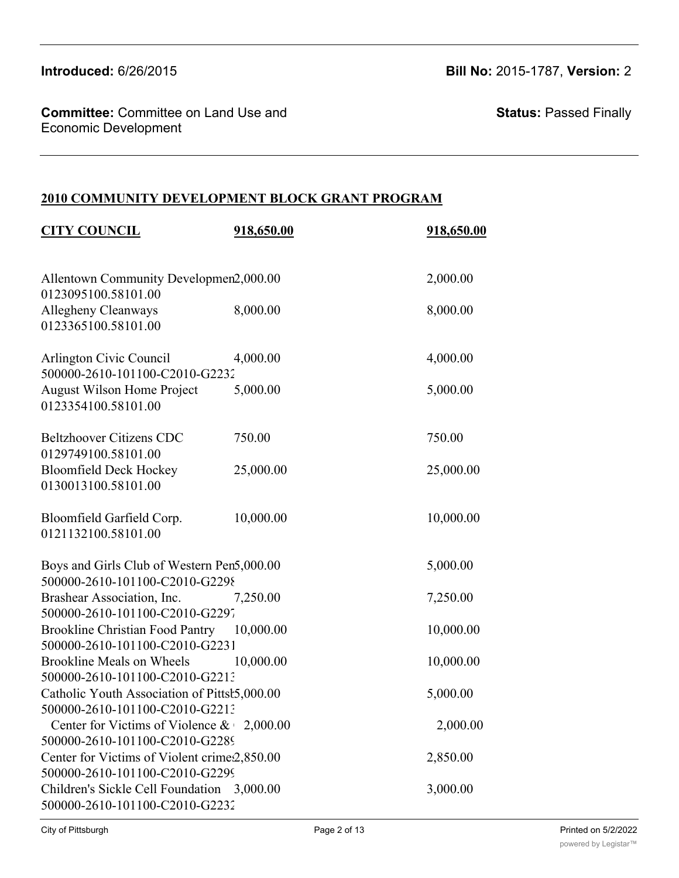**Committee:** Committee on Land Use and Economic Development

**Status:** Passed Finally

## **2010 COMMUNITY DEVELOPMENT BLOCK GRANT PROGRAM**

| <b>CITY COUNCIL</b>                                                            | 918,650.00 | 918,650.00 |
|--------------------------------------------------------------------------------|------------|------------|
| Allentown Community Developmen2,000.00<br>0123095100.58101.00                  |            | 2,000.00   |
| Allegheny Cleanways<br>0123365100.58101.00                                     | 8,000.00   | 8,000.00   |
| Arlington Civic Council<br>500000-2610-101100-C2010-G2232                      | 4,000.00   | 4,000.00   |
| <b>August Wilson Home Project</b><br>0123354100.58101.00                       | 5,000.00   | 5,000.00   |
| <b>Beltzhoover Citizens CDC</b><br>0129749100.58101.00                         | 750.00     | 750.00     |
| <b>Bloomfield Deck Hockey</b><br>0130013100.58101.00                           | 25,000.00  | 25,000.00  |
| Bloomfield Garfield Corp.<br>0121132100.58101.00                               | 10,000.00  | 10,000.00  |
| Boys and Girls Club of Western Pen5,000.00<br>500000-2610-101100-C2010-G2298   |            | 5,000.00   |
| Brashear Association, Inc.<br>500000-2610-101100-C2010-G2297                   | 7,250.00   | 7,250.00   |
| Brookline Christian Food Pantry 10,000.00<br>500000-2610-101100-C2010-G2231    |            | 10,000.00  |
| Brookline Meals on Wheels<br>500000-2610-101100-C2010-G2213                    | 10,000.00  | 10,000.00  |
| Catholic Youth Association of Pittsł5,000.00<br>500000-2610-101100-C2010-G2213 |            | 5,000.00   |
| Center for Victims of Violence $\&$ 2,000.00<br>500000-2610-101100-C2010-G2289 |            | 2,000.00   |
| Center for Victims of Violent crime2,850.00<br>500000-2610-101100-C2010-G2299  |            | 2,850.00   |
| Children's Sickle Cell Foundation 3,000.00<br>500000-2610-101100-C2010-G2232   |            | 3,000.00   |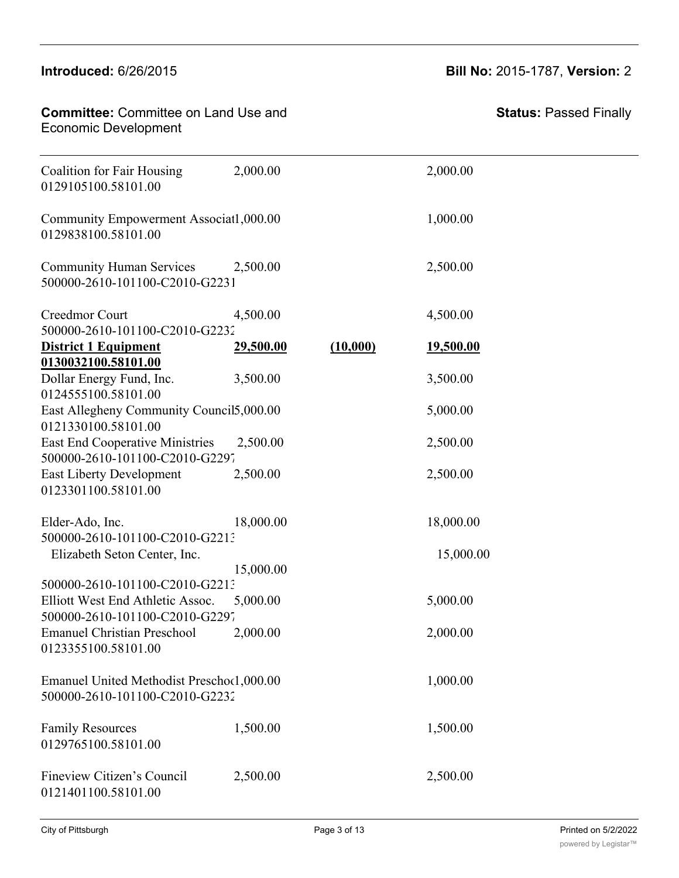#### $5000-2610$  $\blacksquare$ Introduced: 6/26/2015

#### **Committee:** Committee on Land Use and - Committee Committee on Land Colombia<br>Economic Development Children's Sickle Cell Foundation 3,000.00 3,000.00

Catholic Youth Association of Pittsburgh, Inc. 5,000.00 5,000.00

| <b>Status: Passed Finally</b> |
|-------------------------------|
|-------------------------------|

| <b>Coalition for Fair Housing</b><br>0129105100.58101.00                                | 2,000.00  |          | 2,000.00  |
|-----------------------------------------------------------------------------------------|-----------|----------|-----------|
| Community Empowerment Associat1,000.00<br>0129838100.58101.00                           |           |          | 1,000.00  |
| <b>Community Human Services</b><br>500000-2610-101100-C2010-G2231                       | 2,500.00  |          | 2,500.00  |
| Creedmor Court<br>500000-2610-101100-C2010-G2232                                        | 4,500.00  |          | 4,500.00  |
| <b>District 1 Equipment</b><br>0130032100.58101.00                                      | 29,500.00 | (10,000) | 19,500.00 |
| Dollar Energy Fund, Inc.                                                                | 3,500.00  |          | 3,500.00  |
| 0124555100.58101.00<br>East Allegheny Community Council 5,000.00<br>0121330100.58101.00 |           |          | 5,000.00  |
| <b>East End Cooperative Ministries</b><br>500000-2610-101100-C2010-G2297                | 2,500.00  |          | 2,500.00  |
| <b>East Liberty Development</b><br>0123301100.58101.00                                  | 2,500.00  |          | 2,500.00  |
| Elder-Ado, Inc.<br>500000-2610-101100-C2010-G2213                                       | 18,000.00 |          | 18,000.00 |
| Elizabeth Seton Center, Inc.                                                            | 15,000.00 |          | 15,000.00 |
| 500000-2610-101100-C2010-G2213                                                          |           |          |           |
| Elliott West End Athletic Assoc.<br>500000-2610-101100-C2010-G2297                      | 5,000.00  |          | 5,000.00  |
| <b>Emanuel Christian Preschool</b><br>0123355100.58101.00                               | 2,000.00  |          | 2,000.00  |
| Emanuel United Methodist Preschool,000.00<br>500000-2610-101100-C2010-G2232             |           |          | 1,000.00  |
| <b>Family Resources</b><br>0129765100.58101.00                                          | 1,500.00  |          | 1,500.00  |
| Fineview Citizen's Council<br>0121401100.58101.00                                       | 2,500.00  |          | 2,500.00  |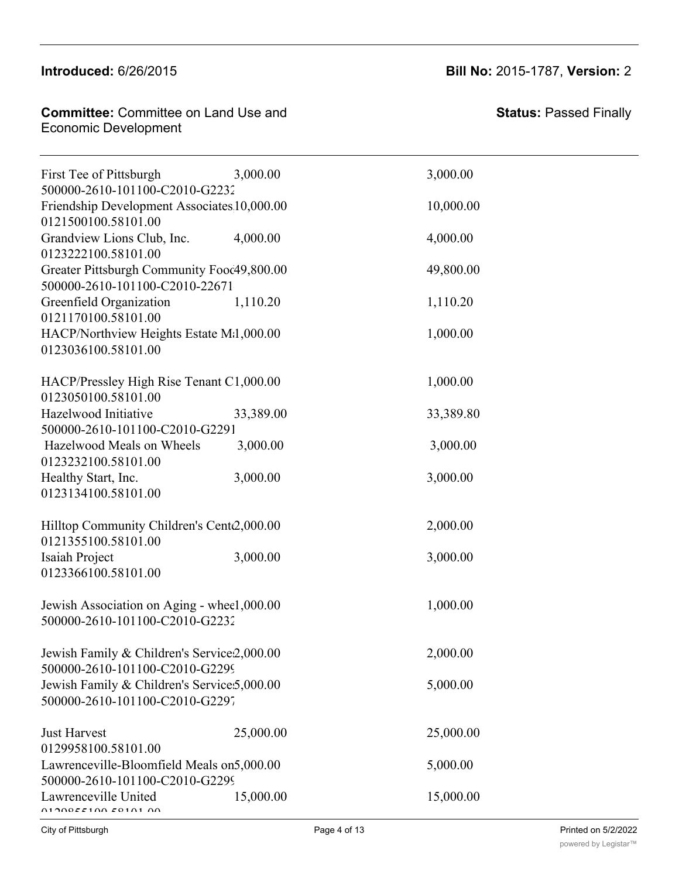## **Introduced:** 6/26/2015 **Bill No:** 2015-1787, **Version:** 2

| <b>Committee:</b> Committee on Land Use and |  |
|---------------------------------------------|--|
| Economic Development                        |  |

500000-2610-101100-C2010-G223272-2010

| First Tee of Pittsburgh<br>500000-2610-101100-C2010-G2232                      | 3,000.00  | 3,000.00  |
|--------------------------------------------------------------------------------|-----------|-----------|
| Friendship Development Associates 10,000.00<br>0121500100.58101.00             |           | 10,000.00 |
| Grandview Lions Club, Inc.<br>0123222100.58101.00                              | 4,000.00  | 4,000.00  |
| Greater Pittsburgh Community Fooc49,800.00<br>500000-2610-101100-C2010-22671   |           | 49,800.00 |
| Greenfield Organization<br>0121170100.58101.00                                 | 1,110.20  | 1,110.20  |
| HACP/Northview Heights Estate M:1,000.00<br>0123036100.58101.00                |           | 1,000.00  |
| HACP/Pressley High Rise Tenant C1,000.00<br>0123050100.58101.00                |           | 1,000.00  |
| Hazelwood Initiative<br>500000-2610-101100-C2010-G2291                         | 33,389.00 | 33,389.80 |
| Hazelwood Meals on Wheels<br>0123232100.58101.00                               | 3,000.00  | 3,000.00  |
| Healthy Start, Inc.<br>0123134100.58101.00                                     | 3,000.00  | 3,000.00  |
| Hilltop Community Children's Cente2,000.00<br>0121355100.58101.00              |           | 2,000.00  |
| Isaiah Project<br>0123366100.58101.00                                          | 3,000.00  | 3,000.00  |
| Jewish Association on Aging - wheel,000.00<br>500000-2610-101100-C2010-G2232   |           | 1,000.00  |
| Jewish Family & Children's Service2,000.00<br>500000-2610-101100-C2010-G2299   |           | 2,000.00  |
| Jewish Family & Children's Service: 5,000.00<br>500000-2610-101100-C2010-G2297 |           | 5,000.00  |
| <b>Just Harvest</b><br>0129958100.58101.00                                     | 25,000.00 | 25,000.00 |
| Lawrenceville-Bloomfield Meals on 5,000.00<br>500000-2610-101100-C2010-G2299   |           | 5,000.00  |
| Lawrenceville United<br>01000551005010100                                      | 15,000.00 | 15,000.00 |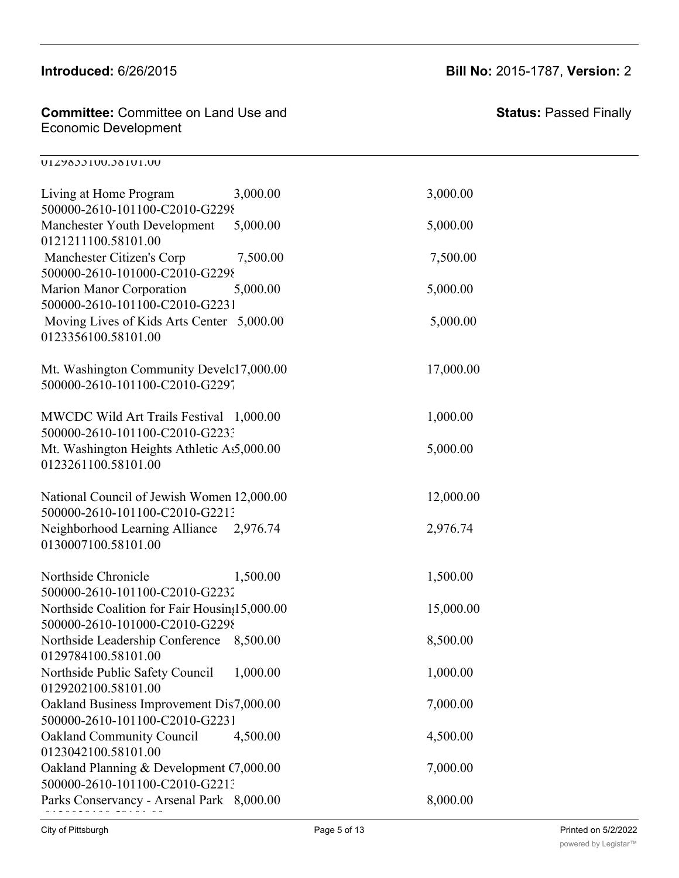# Just Harvest 25,000.00 25,000.00

0129855100.58101.00

## **Committee:** Committee on Land Use and Economic Development

500000-2610-101100-C2010-G229757-2010

| Living at Home Program<br>500000-2610-101100-C2010-G2298                        | 3,000.00 | 3,000.00  |
|---------------------------------------------------------------------------------|----------|-----------|
| Manchester Youth Development<br>0121211100.58101.00                             | 5,000.00 | 5,000.00  |
| Manchester Citizen's Corp<br>500000-2610-101000-C2010-G2298                     | 7,500.00 | 7,500.00  |
| Marion Manor Corporation<br>500000-2610-101100-C2010-G2231                      | 5,000.00 | 5,000.00  |
| Moving Lives of Kids Arts Center 5,000.00<br>0123356100.58101.00                |          | 5,000.00  |
| Mt. Washington Community Develc17,000.00<br>500000-2610-101100-C2010-G2297      |          | 17,000.00 |
| MWCDC Wild Art Trails Festival 1,000.00<br>500000-2610-101100-C2010-G2233       |          | 1,000.00  |
| Mt. Washington Heights Athletic As5,000.00<br>0123261100.58101.00               |          | 5,000.00  |
| National Council of Jewish Women 12,000.00<br>500000-2610-101100-C2010-G2213    |          | 12,000.00 |
| Neighborhood Learning Alliance 2,976.74<br>0130007100.58101.00                  |          | 2,976.74  |
| Northside Chronicle<br>500000-2610-101100-C2010-G2232                           | 1,500.00 | 1,500.00  |
| Northside Coalition for Fair Housin;15,000.00<br>500000-2610-101000-C2010-G2298 |          | 15,000.00 |
| Northside Leadership Conference 8,500.00<br>0129784100.58101.00                 |          | 8,500.00  |
| Northside Public Safety Council 1,000.00<br>0129202100.58101.00                 |          | 1,000.00  |
| Oakland Business Improvement Dis7,000.00<br>500000-2610-101100-C2010-G2231      |          | 7,000.00  |
| <b>Oakland Community Council</b><br>0123042100.58101.00                         | 4,500.00 | 4,500.00  |
| Oakland Planning & Development C7,000.00<br>500000-2610-101100-C2010-G2213      |          | 7,000.00  |
| Parks Conservancy - Arsenal Park 8,000.00                                       |          | 8,000.00  |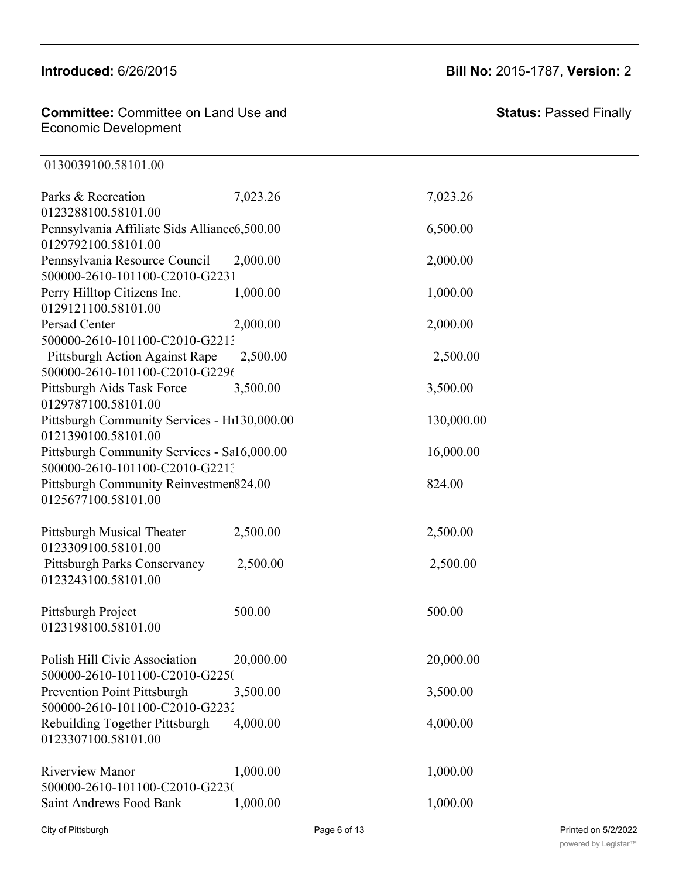0130039100.58101.00

#### **Committee:** Committee on Land Use and Economic Development 0123042100.58101.00 **Committee:** Committee on Land Use and<br>—

## **Introduced:** 6/26/2015 **Bill No:** 2015-1787, **Version:** 2

| Parks & Recreation                                                  | 7,023.26  | 7,023.26   |
|---------------------------------------------------------------------|-----------|------------|
| 0123288100.58101.00                                                 |           |            |
| Pennsylvania Affiliate Sids Alliance6,500.00<br>0129792100.58101.00 |           | 6,500.00   |
| Pennsylvania Resource Council                                       | 2,000.00  | 2,000.00   |
| 500000-2610-101100-C2010-G2231                                      |           |            |
| Perry Hilltop Citizens Inc.                                         | 1,000.00  | 1,000.00   |
| 0129121100.58101.00                                                 |           |            |
| <b>Persad Center</b>                                                | 2,000.00  | 2,000.00   |
| 500000-2610-101100-C2010-G2213                                      |           |            |
| Pittsburgh Action Against Rape                                      | 2,500.00  | 2,500.00   |
| 500000-2610-101100-C2010-G2296                                      |           |            |
| Pittsburgh Aids Task Force                                          | 3,500.00  | 3,500.00   |
| 0129787100.58101.00                                                 |           |            |
| Pittsburgh Community Services - Ht130,000.00                        |           | 130,000.00 |
| 0121390100.58101.00                                                 |           |            |
| Pittsburgh Community Services - Sa16,000.00                         |           | 16,000.00  |
| 500000-2610-101100-C2010-G2213                                      |           |            |
| Pittsburgh Community Reinvestmen824.00                              |           | 824.00     |
| 0125677100.58101.00                                                 |           |            |
| Pittsburgh Musical Theater                                          | 2,500.00  | 2,500.00   |
| 0123309100.58101.00                                                 |           |            |
| Pittsburgh Parks Conservancy                                        | 2,500.00  | 2,500.00   |
| 0123243100.58101.00                                                 |           |            |
| Pittsburgh Project                                                  | 500.00    | 500.00     |
| 0123198100.58101.00                                                 |           |            |
|                                                                     |           |            |
| Polish Hill Civic Association                                       | 20,000.00 | 20,000.00  |
| 500000-2610-101100-C2010-G2250                                      |           |            |
| Prevention Point Pittsburgh                                         | 3,500.00  | 3,500.00   |
| 500000-2610-101100-C2010-G2232                                      |           |            |
| Rebuilding Together Pittsburgh                                      | 4,000.00  | 4,000.00   |
| 0123307100.58101.00                                                 |           |            |
| <b>Riverview Manor</b>                                              | 1,000.00  | 1,000.00   |
| 500000-2610-101100-C2010-G2230                                      |           |            |
| <b>Saint Andrews Food Bank</b>                                      | 1,000.00  | 1,000.00   |

Parks Conservancy - Arsenal Park 8,000.00 8,000.00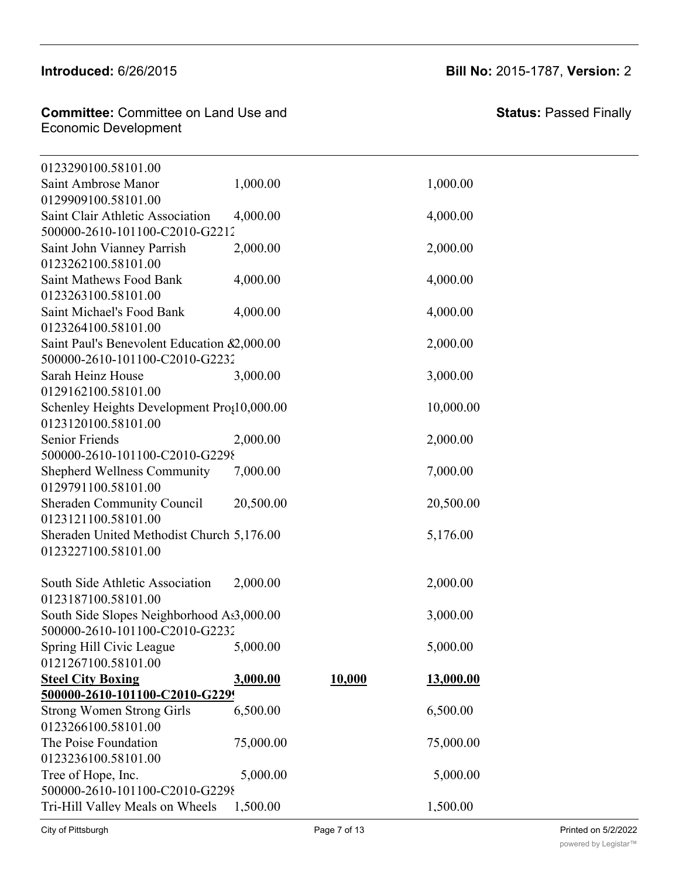## **Introduced:** 6/26/2015 **Bill No:** 2015-1787, **Version:** 2

| <b>Committee:</b> Committee on Land Use and |  |
|---------------------------------------------|--|
| Economic Development                        |  |

Prevention Point Pittsburgh 3,500.00 3,500.00

Saint Andrews Food Bank 1,000.00 1,000.00

| 0123290100.58101.00                                    |           |        |           |
|--------------------------------------------------------|-----------|--------|-----------|
| Saint Ambrose Manor                                    | 1,000.00  |        | 1,000.00  |
| 0129909100.58101.00                                    |           |        |           |
| Saint Clair Athletic Association                       | 4,000.00  |        | 4,000.00  |
| 500000-2610-101100-C2010-G2212                         |           |        |           |
| Saint John Vianney Parrish                             | 2,000.00  |        | 2,000.00  |
| 0123262100.58101.00                                    |           |        |           |
| <b>Saint Mathews Food Bank</b>                         | 4,000.00  |        | 4,000.00  |
| 0123263100.58101.00                                    |           |        |           |
| Saint Michael's Food Bank                              | 4,000.00  |        | 4,000.00  |
| 0123264100.58101.00                                    |           |        |           |
| Saint Paul's Benevolent Education &2,000.00            |           |        | 2,000.00  |
| 500000-2610-101100-C2010-G2232                         |           |        |           |
| Sarah Heinz House                                      | 3,000.00  |        | 3,000.00  |
| 0129162100.58101.00                                    |           |        |           |
| Schenley Heights Development Pro;10,000.00             |           |        | 10,000.00 |
| 0123120100.58101.00                                    |           |        |           |
| <b>Senior Friends</b>                                  | 2,000.00  |        | 2,000.00  |
| 500000-2610-101100-C2010-G2298                         |           |        |           |
| <b>Shepherd Wellness Community</b>                     | 7,000.00  |        | 7,000.00  |
| 0129791100.58101.00                                    |           |        |           |
| Sheraden Community Council                             | 20,500.00 |        | 20,500.00 |
| 0123121100.58101.00                                    |           |        |           |
| Sheraden United Methodist Church 5,176.00              |           |        | 5,176.00  |
| 0123227100.58101.00                                    |           |        |           |
|                                                        |           |        |           |
| South Side Athletic Association<br>0123187100.58101.00 | 2,000.00  |        | 2,000.00  |
| South Side Slopes Neighborhood As3,000.00              |           |        | 3,000.00  |
| 500000-2610-101100-C2010-G2232                         |           |        |           |
| Spring Hill Civic League                               | 5,000.00  |        | 5,000.00  |
| 0121267100.58101.00                                    |           |        |           |
| <b>Steel City Boxing</b>                               | 3,000.00  | 10,000 | 13,000.00 |
| 500000-2610-101100-C2010-G2299                         |           |        |           |
| <b>Strong Women Strong Girls</b>                       | 6,500.00  |        | 6,500.00  |
| 0123266100.58101.00                                    |           |        |           |
| The Poise Foundation                                   | 75,000.00 |        | 75,000.00 |
| 0123236100.58101.00                                    |           |        |           |
| Tree of Hope, Inc.                                     | 5,000.00  |        | 5,000.00  |
| 500000-2610-101100-C2010-G2298                         |           |        |           |
| Tri-Hill Valley Meals on Wheels                        | 1,500.00  |        | 1,500.00  |
|                                                        |           |        |           |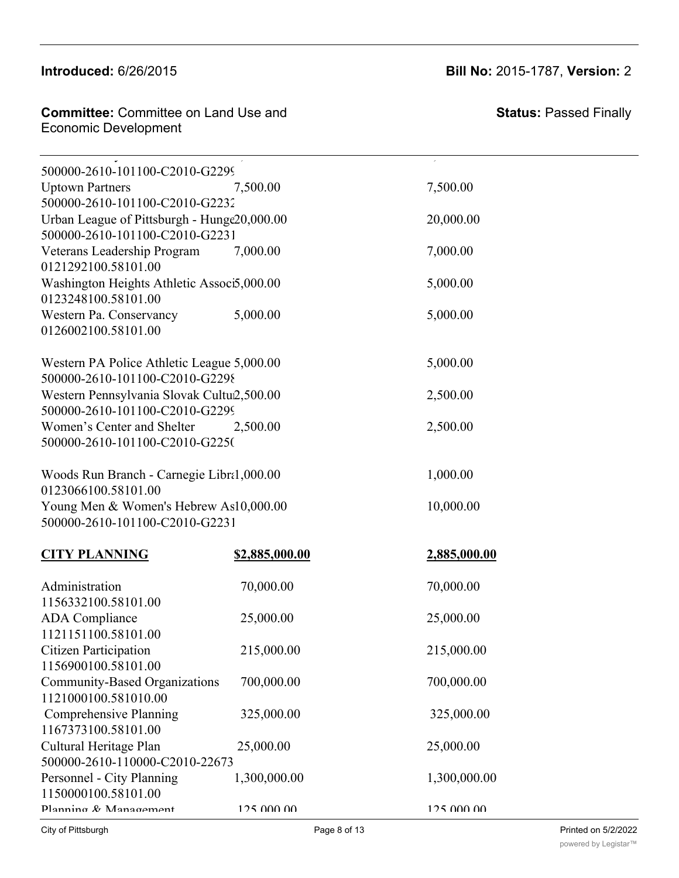#### Strong Women Strong Girls 6,500.00 6,500.00  $\blacksquare$ ntroduced: 6/26/20

## **Introduced:** 6/26/2015 **Bill No:** 2015-1787, **Version:** 2

**Committee: Committee on Land Use and** Tremministic Community of Home, Inc. 5,000.000 5,000.000 5,000.000 5,000.000 5,000.000 5,000.000 5,000.000 5,00<br>Economic Development 500000-2610-101100-C2010-G229866-2010

**500000-2610-101100-C2010-G229982-2010**

| 500000-2610-101100-C2010-G2299              |                |              |  |
|---------------------------------------------|----------------|--------------|--|
| <b>Uptown Partners</b>                      | 7,500.00       | 7,500.00     |  |
| 500000-2610-101100-C2010-G2232              |                |              |  |
| Urban League of Pittsburgh - Hunge20,000.00 |                | 20,000.00    |  |
| 500000-2610-101100-C2010-G2231              |                |              |  |
| Veterans Leadership Program                 | 7,000.00       | 7,000.00     |  |
| 0121292100.58101.00                         |                |              |  |
| Washington Heights Athletic Associ5,000.00  |                | 5,000.00     |  |
| 0123248100.58101.00                         |                |              |  |
| Western Pa. Conservancy                     | 5,000.00       | 5,000.00     |  |
| 0126002100.58101.00                         |                |              |  |
| Western PA Police Athletic League 5,000.00  |                | 5,000.00     |  |
| 500000-2610-101100-C2010-G2298              |                |              |  |
| Western Pennsylvania Slovak Cultu2,500.00   |                | 2,500.00     |  |
| 500000-2610-101100-C2010-G2299              |                |              |  |
| Women's Center and Shelter                  | 2,500.00       | 2,500.00     |  |
| 500000-2610-101100-C2010-G2250              |                |              |  |
| Woods Run Branch - Carnegie Libra1,000.00   |                | 1,000.00     |  |
| 0123066100.58101.00                         |                |              |  |
| Young Men & Women's Hebrew As10,000.00      |                | 10,000.00    |  |
| 500000-2610-101100-C2010-G2231              |                |              |  |
| <b>CITY PLANNING</b>                        | \$2,885,000.00 | 2,885,000.00 |  |
|                                             |                |              |  |
| Administration                              | 70,000.00      | 70,000.00    |  |
| 1156332100.58101.00                         |                |              |  |
| <b>ADA</b> Compliance                       | 25,000.00      | 25,000.00    |  |
| 1121151100.58101.00                         |                |              |  |
| <b>Citizen Participation</b>                | 215,000.00     | 215,000.00   |  |
| 1156900100.58101.00                         |                |              |  |
| Community-Based Organizations               | 700,000.00     | 700,000.00   |  |
| 1121000100.581010.00                        |                |              |  |
| Comprehensive Planning                      | 325,000.00     | 325,000.00   |  |
| 1167373100.58101.00                         |                |              |  |
| Cultural Heritage Plan                      | 25,000.00      | 25,000.00    |  |
| 500000-2610-110000-C2010-22673              |                |              |  |
| Personnel - City Planning                   | 1,300,000.00   | 1,300,000.00 |  |
| 1150000100.58101.00                         |                |              |  |
| Planning & Management                       | 125 000 00     | 125 000 00   |  |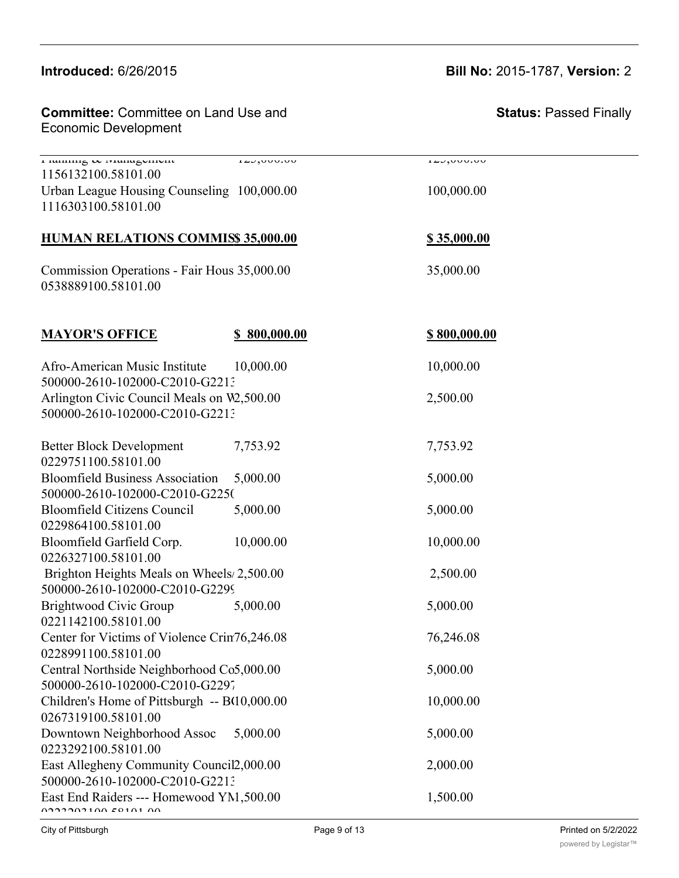#### $\frac{C_0}{C_1}$  $n_{1}$ uluuuuuu

1121000100.581010.00

Committee: Committee on Land Use and ers and the Development of the City Planning 1,300,000 1,300,000 1,300,000 1,300,000 1,300,000 1,300,000 1,300

Planning & Management 125,000.00 125,000.00 1156132100.58101.00 Urban League Housing Counseling 100,000.00 100,000.00 1116303100.58101.00

#### **HUMAN RELATIONS COMMISS 35,000.00 \$35,000.00**

Commission Operations - Fair Hous 35,000.00 35,000.00 0538889100.58101.00

| <b>MAYOR'S OFFICE</b>                                             | \$800,000.00 | \$800,000.00 |
|-------------------------------------------------------------------|--------------|--------------|
| Afro-American Music Institute<br>500000-2610-102000-C2010-G2213   | 10,000.00    | 10,000.00    |
| Arlington Civic Council Meals on W2,500.00                        |              | 2,500.00     |
| 500000-2610-102000-C2010-G2213                                    |              |              |
| <b>Better Block Development</b><br>0229751100.58101.00            | 7,753.92     | 7,753.92     |
| <b>Bloomfield Business Association</b>                            | 5,000.00     | 5,000.00     |
| 500000-2610-102000-C2010-G2250                                    |              |              |
| <b>Bloomfield Citizens Council</b>                                | 5,000.00     | 5,000.00     |
| 0229864100.58101.00                                               |              |              |
| Bloomfield Garfield Corp.                                         | 10,000.00    | 10,000.00    |
| 0226327100.58101.00                                               |              |              |
| Brighton Heights Meals on Wheels/2,500.00                         |              | 2,500.00     |
| 500000-2610-102000-C2010-G2299                                    |              |              |
| Brightwood Civic Group<br>0221142100.58101.00                     | 5,000.00     | 5,000.00     |
| Center for Victims of Violence Crin76,246.08                      |              | 76,246.08    |
| 0228991100.58101.00                                               |              |              |
| Central Northside Neighborhood Co5,000.00                         |              | 5,000.00     |
| 500000-2610-102000-C2010-G2297                                    |              |              |
| Children's Home of Pittsburgh -- B(10,000.00                      |              | 10,000.00    |
| 0267319100.58101.00                                               |              |              |
| Downtown Neighborhood Assoc                                       | 5,000.00     | 5,000.00     |
| 0223292100.58101.00                                               |              |              |
| East Allegheny Community Council2,000.00                          |              | 2,000.00     |
| 500000-2610-102000-C2010-G2213                                    |              |              |
| East End Raiders --- Homewood YM, 500.00<br>0.2222210071007010100 |              | 1,500.00     |
|                                                                   |              |              |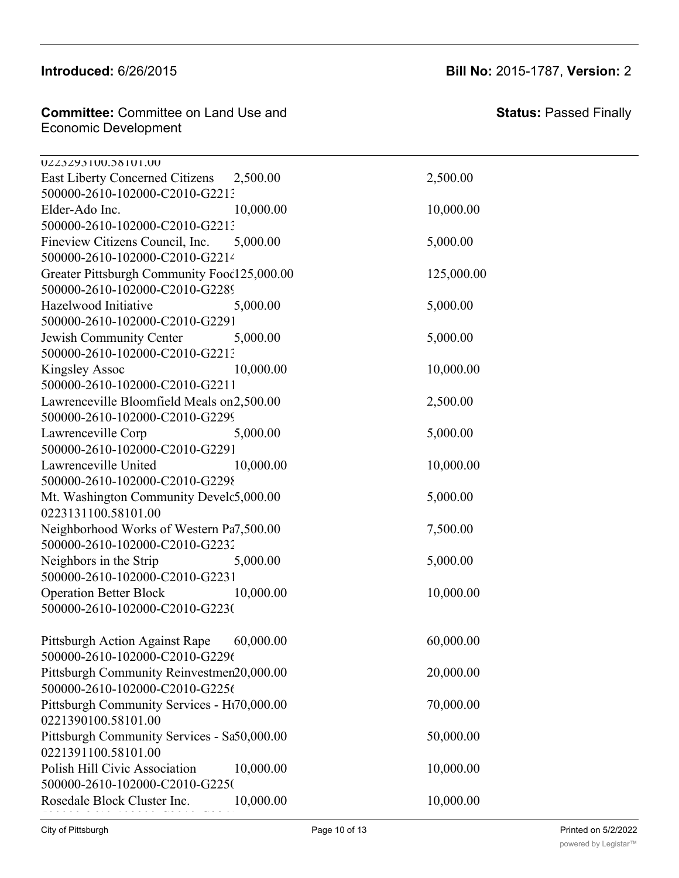#### Introduced: 6/26/2015 Downtown Neighborhood Assoc 5,000.00 5,000.00

**Committee:** Committee on Land Use and Economic Development **Committee:** Committee on Land Use and **Committee**:

Children's Home of Pittsburgh -- BGC10,000.00 10,000.00

| UZZ3ZY3100.38101.00                         |           |            |
|---------------------------------------------|-----------|------------|
| <b>East Liberty Concerned Citizens</b>      | 2,500.00  | 2,500.00   |
| 500000-2610-102000-C2010-G2213              |           |            |
| Elder-Ado Inc.                              | 10,000.00 | 10,000.00  |
| 500000-2610-102000-C2010-G2213              |           |            |
| Fineview Citizens Council, Inc.             | 5,000.00  | 5,000.00   |
| 500000-2610-102000-C2010-G2214              |           |            |
| Greater Pittsburgh Community Fooc125,000.00 |           | 125,000.00 |
| 500000-2610-102000-C2010-G2289              |           |            |
| Hazelwood Initiative                        | 5,000.00  | 5,000.00   |
| 500000-2610-102000-C2010-G2291              |           |            |
| Jewish Community Center                     | 5,000.00  | 5,000.00   |
| 500000-2610-102000-C2010-G2213              |           |            |
| <b>Kingsley Assoc</b>                       | 10,000.00 | 10,000.00  |
| 500000-2610-102000-C2010-G2211              |           |            |
| Lawrenceville Bloomfield Meals on2,500.00   |           | 2,500.00   |
| 500000-2610-102000-C2010-G2299              |           |            |
| Lawrenceville Corp                          | 5,000.00  | 5,000.00   |
| 500000-2610-102000-C2010-G2291              |           |            |
| Lawrenceville United                        | 10,000.00 | 10,000.00  |
| 500000-2610-102000-C2010-G2298              |           |            |
| Mt. Washington Community Develc5,000.00     |           | 5,000.00   |
| 0223131100.58101.00                         |           |            |
| Neighborhood Works of Western Pa7,500.00    |           | 7,500.00   |
| 500000-2610-102000-C2010-G2232              |           |            |
| Neighbors in the Strip                      | 5,000.00  | 5,000.00   |
| 500000-2610-102000-C2010-G2231              |           |            |
| <b>Operation Better Block</b>               | 10,000.00 | 10,000.00  |
| 500000-2610-102000-C2010-G2230              |           |            |
|                                             |           |            |
| Pittsburgh Action Against Rape              | 60,000.00 | 60,000.00  |
| 500000-2610-102000-C2010-G2296              |           |            |
| Pittsburgh Community Reinvestmen20,000.00   |           | 20,000.00  |
| 500000-2610-102000-C2010-G2256              |           |            |
| Pittsburgh Community Services - Ht70,000.00 |           | 70,000.00  |
| 0221390100.58101.00                         |           |            |
| Pittsburgh Community Services - Sa50,000.00 |           | 50,000.00  |
| 0221391100.58101.00                         |           |            |
| Polish Hill Civic Association               | 10,000.00 | 10,000.00  |
| 500000-2610-102000-C2010-G225(              |           |            |
| Rosedale Block Cluster Inc.                 | 10,000.00 | 10,000.00  |
|                                             |           |            |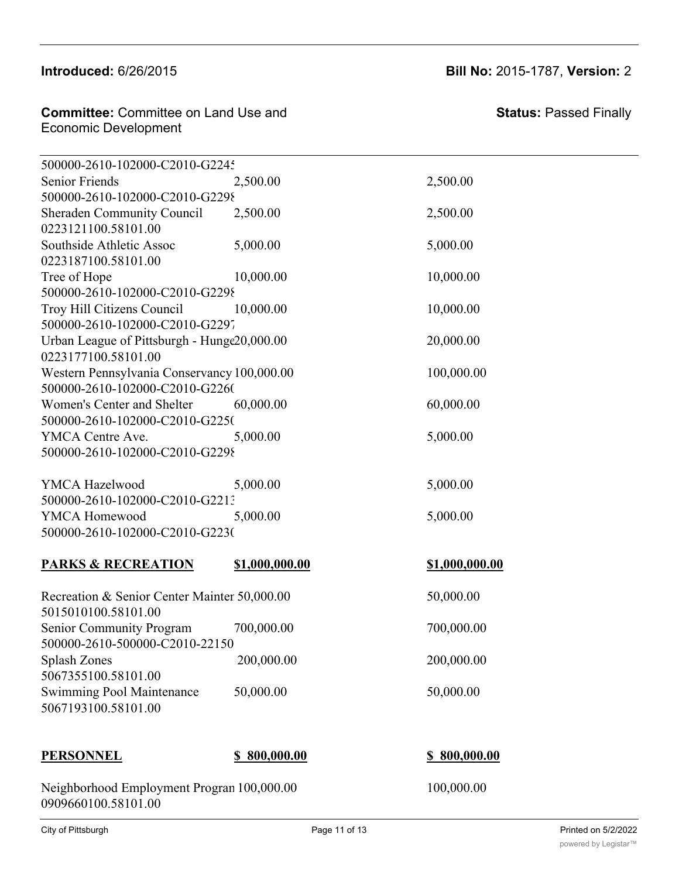**Committee:** Committee on Land Use and Economic Development 0221391100.58101.00 **Committee:** Committee on Land Use and<br>—

500000-2610-102000-C2010-G225677-2010

Rosedale Block Cluster Inc. 10,000.00 10,000.00 500000-2610-102000-C2010-G2245 Senior Friends 2,500.00 2,500.00 2,500.00 500000-2610-102000-C2010-G2298 Sheraden Community Council 2,500.00 2,500.00 0223121100.58101.00 Southside Athletic Assoc  $5,000.00$  5,000,00 0223187100.58101.00 Tree of Hope 10,000.00 10,000.00 10,000.00 500000-2610-102000-C2010-G2298 Troy Hill Citizens Council  $10,000.00$  10,000.00 500000-2610-102000-C2010-G2297 Urban League of Pittsburgh - Hunge 20,000.00 20,000.00 0223177100.58101.00 Western Pennsylvania Conservancy 100,000.00 100,000.00 500000-2610-102000-C2010-G2260 Women's Center and Shelter  $60,000.00$   $60,000.00$ 500000-2610-102000-C2010-G2250 YMCA Centre Ave.  $5,000.00$  5,000.00 500000-2610-102000-C2010-G2298

YMCA Hazelwood  $5,000.00$   $5,000.00$   $5,000.00$ 500000-2610-102000-C2010-G2213 YMCA Homewood 5,000.00 5,000.00 5,000.00 500000-2610-102000-C2010-G2230

## **PARKS & RECREATION \$1,000,000.00 \$1,000,000.00**

| Recreation & Senior Center Mainter 50,000.00 |            |
|----------------------------------------------|------------|
| 5015010100.58101.00                          |            |
| <b>Senior Community Program</b>              | 700,000.00 |
| 500000-2610-500000-C2010-22150               |            |
| <b>Splash Zones</b>                          | 200,000.00 |
| 5067355100.58101.00                          |            |
| Swimming Pool Maintenance                    | 50,000.00  |
| 5067193100.58101.00                          |            |

#### **PERSONNEL \$ 800,000.00 \$ 800,000.00**

Neighborhood Employment Program 100,000.00 100,000.00 0909660100.58101.00

 $50,000.00$ 

700,000.00

200,000.00

50,000.00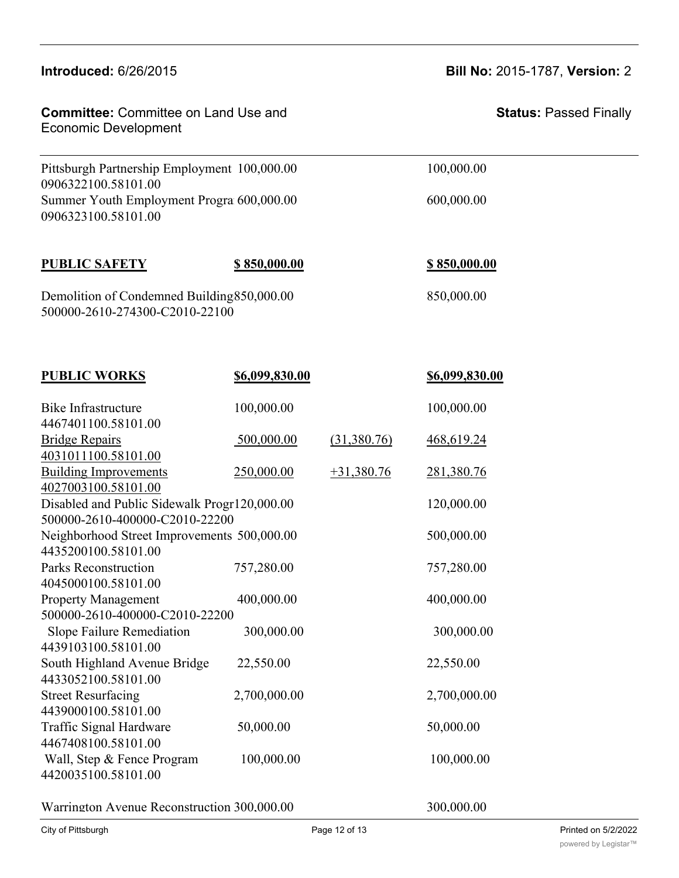| <b>Introduced: 6/26/2015</b>                                                                |                | <b>Bill No: 2015-1787, Version: 2</b> |                               |  |
|---------------------------------------------------------------------------------------------|----------------|---------------------------------------|-------------------------------|--|
| <b>Committee: Committee on Land Use and</b><br><b>Economic Development</b>                  |                |                                       | <b>Status: Passed Finally</b> |  |
| Pittsburgh Partnership Employment 100,000.00                                                |                | 100,000.00                            |                               |  |
| 0906322100.58101.00<br>Summer Youth Employment Progra 600,000.00<br>0906323100.58101.00     |                | 600,000.00                            |                               |  |
| <b>PUBLIC SAFETY</b>                                                                        | \$850,000.00   |                                       | <u>\$850,000.00</u>           |  |
| Demolition of Condemned Building 850,000.00<br>500000-2610-274300-C2010-22100               |                |                                       | 850,000.00                    |  |
| <b>PUBLIC WORKS</b>                                                                         | \$6,099,830.00 |                                       | \$6,099,830.00                |  |
| <b>Bike Infrastructure</b>                                                                  | 100,000.00     |                                       | 100,000.00                    |  |
| 4467401100.58101.00<br><b>Bridge Repairs</b>                                                | 500,000.00     |                                       | 468,619.24                    |  |
| 4031011100.58101.00                                                                         |                | (31,380.76)                           |                               |  |
| <b>Building Improvements</b><br>4027003100.58101.00                                         | 250,000.00     | $+31,380.76$                          | 281,380.76                    |  |
| Disabled and Public Sidewalk Progr120,000.00                                                |                |                                       | 120,000.00                    |  |
| 500000-2610-400000-C2010-22200<br>500,000.00<br>Neighborhood Street Improvements 500,000.00 |                |                                       |                               |  |
| 4435200100.58101.00                                                                         |                |                                       |                               |  |
| Parks Reconstruction<br>4045000100.58101.00                                                 | 757,280.00     |                                       | 757,280.00                    |  |
| <b>Property Management</b><br>400,000.00                                                    |                | 400,000.00                            |                               |  |
| 500000-2610-400000-C2010-22200<br>Slope Failure Remediation                                 | 300,000.00     |                                       | 300,000.00                    |  |
| 4439103100.58101.00<br>South Highland Avenue Bridge                                         | 22,550.00      |                                       | 22,550.00                     |  |
| 4433052100.58101.00                                                                         |                |                                       |                               |  |
| <b>Street Resurfacing</b><br>4439000100.58101.00                                            | 2,700,000.00   |                                       | 2,700,000.00                  |  |
| Traffic Signal Hardware                                                                     | 50,000.00      |                                       | 50,000.00                     |  |
| 4467408100.58101.00<br>Wall, Step & Fence Program<br>4420035100.58101.00                    | 100,000.00     |                                       | 100,000.00                    |  |
|                                                                                             |                |                                       |                               |  |

Swimming Pool Maintenance 50,000.00 50,000.00

Warrington Avenue Reconstruction 300,000.00 300,000.00